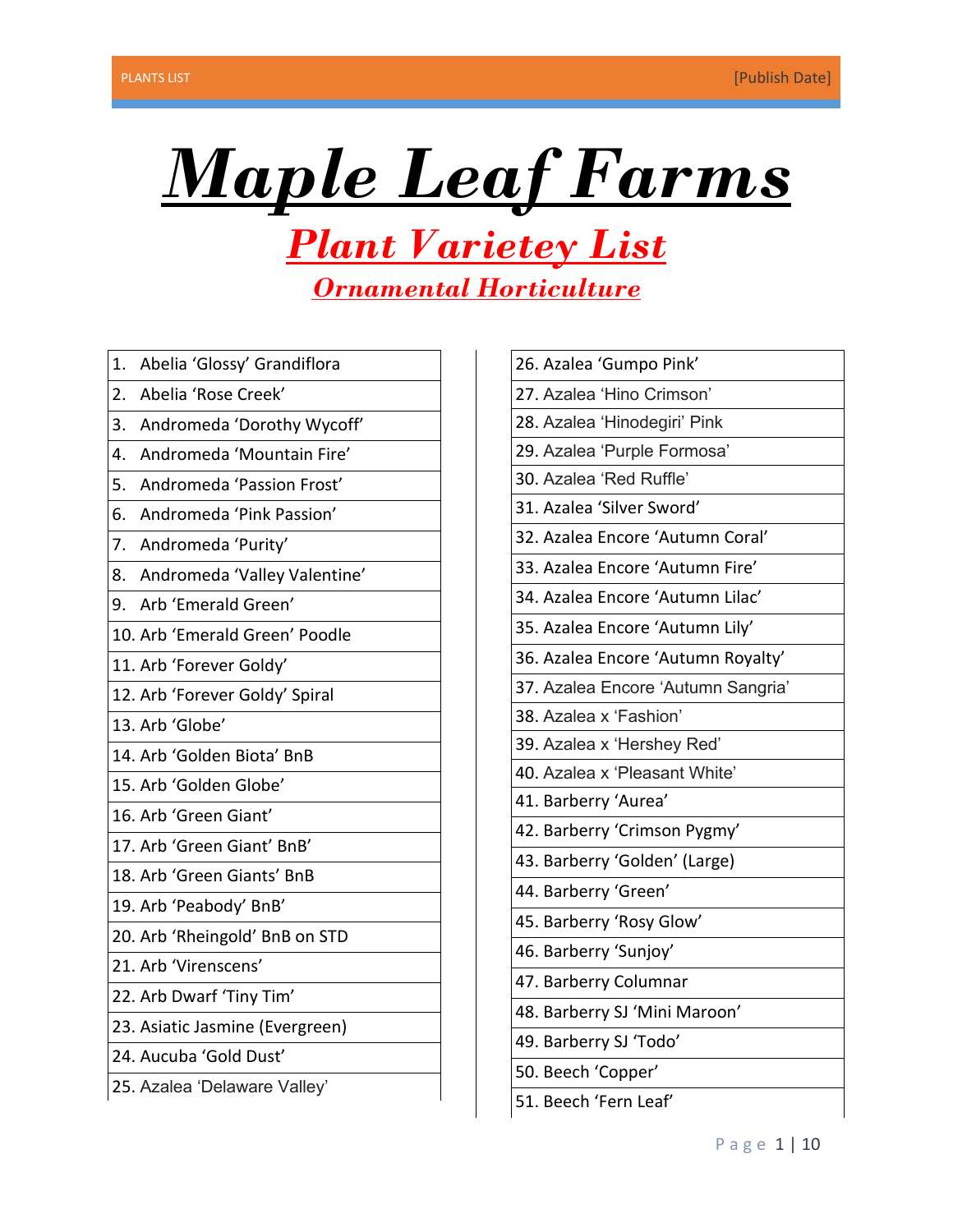

# *Plant Varietey List Ornamental Horticulture*

- 1. Abelia 'Glossy' Grandiflora
- 2. Abelia 'Rose Creek'
- 3. Andromeda 'Dorothy Wycoff'
- 4. Andromeda 'Mountain Fire'
- 5. Andromeda 'Passion Frost'
- 6. Andromeda 'Pink Passion'
- 7. Andromeda 'Purity'
- 8. Andromeda 'Valley Valentine'
- 9. Arb 'Emerald Green'
- 10. Arb 'Emerald Green' Poodle
- 11. Arb 'Forever Goldy'
- 12. Arb 'Forever Goldy' Spiral
- 13. Arb 'Globe'
- 14. Arb 'Golden Biota' BnB
- 15. Arb 'Golden Globe'
- 16. Arb 'Green Giant'
- 17. Arb 'Green Giant' BnB'
- 18. Arb 'Green Giants' BnB
- 19. Arb 'Peabody' BnB'
- 20. Arb 'Rheingold' BnB on STD
- 21. Arb 'Virenscens'
- 22. Arb Dwarf 'Tiny Tim'
- 23. Asiatic Jasmine (Evergreen)
- 24. Aucuba 'Gold Dust'
- 25. Azalea 'Delaware Valley'

| 26. Azalea 'Gumpo Pink'            |
|------------------------------------|
| 27. Azalea 'Hino Crimson'          |
| 28. Azalea 'Hinodegiri' Pink       |
| 29. Azalea 'Purple Formosa'        |
| 30. Azalea 'Red Ruffle'            |
| 31. Azalea 'Silver Sword'          |
| 32. Azalea Encore 'Autumn Coral'   |
| 33. Azalea Encore 'Autumn Fire'    |
| 34. Azalea Encore 'Autumn Lilac'   |
| 35. Azalea Encore 'Autumn Lily'    |
| 36. Azalea Encore 'Autumn Royalty' |
| 37. Azalea Encore 'Autumn Sangria' |
| 38. Azalea x 'Fashion'             |
| 39. Azalea x 'Hershey Red'         |
| 40. Azalea x 'Pleasant White'      |
| 41. Barberry 'Aurea'               |
| 42. Barberry 'Crimson Pygmy'       |
| 43. Barberry 'Golden' (Large)      |
| 44. Barberry 'Green'               |
| 45. Barberry 'Rosy Glow'           |
| 46. Barberry 'Sunjoy'              |
| 47. Barberry Columnar              |
| 48. Barberry SJ 'Mini Maroon'      |
| 49. Barberry SJ 'Todo'             |
| 50. Beech 'Copper'                 |

51. Beech 'Fern Leaf'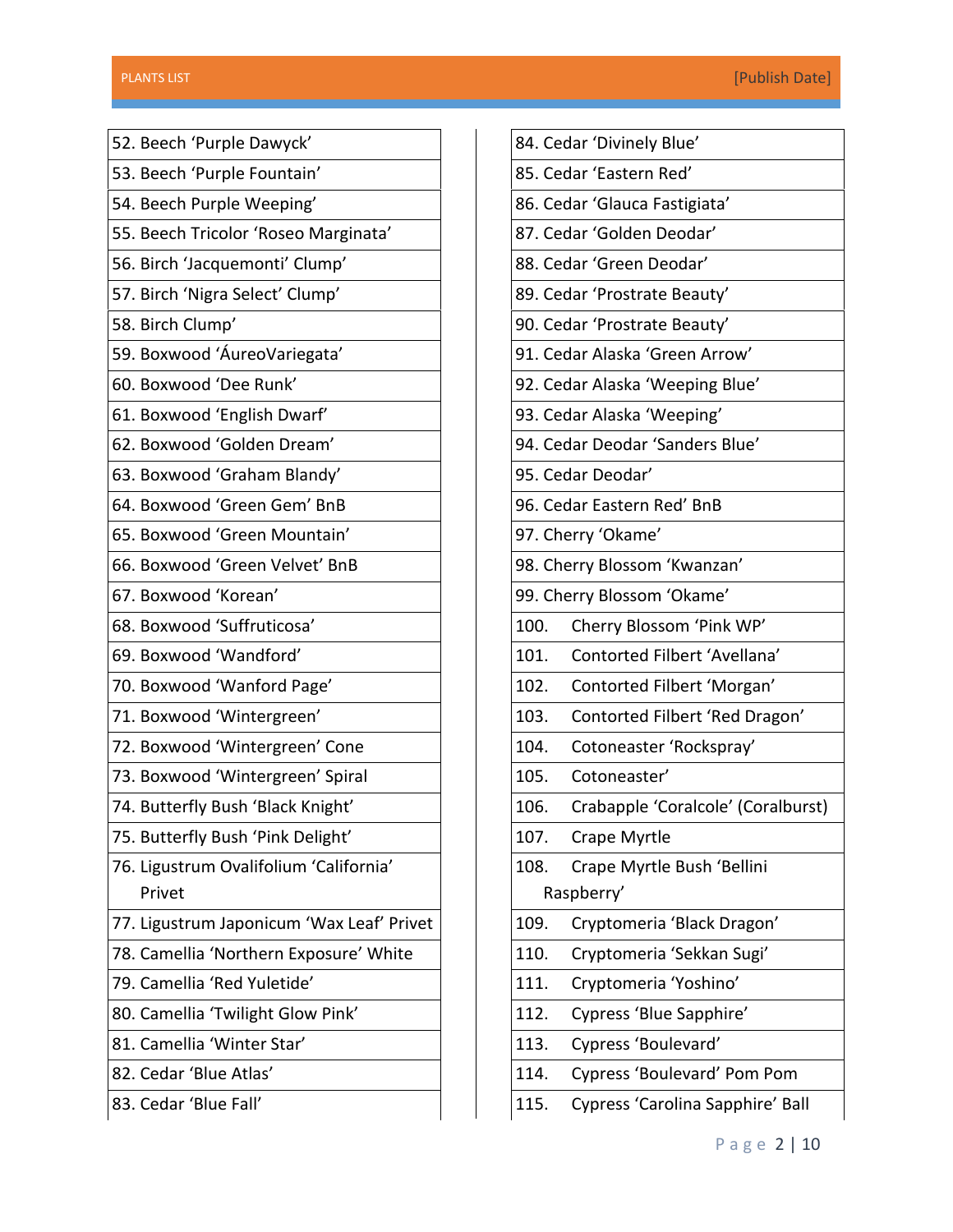| 52. Beech 'Purple Dawyck'                 |
|-------------------------------------------|
| 53. Beech 'Purple Fountain'               |
| 54. Beech Purple Weeping'                 |
| 55. Beech Tricolor 'Roseo Marginata'      |
| 56. Birch 'Jacquemonti' Clump'            |
| 57. Birch 'Nigra Select' Clump'           |
| 58. Birch Clump'                          |
| 59. Boxwood 'ÁureoVariegata'              |
| 60. Boxwood 'Dee Runk'                    |
| 61. Boxwood 'English Dwarf'               |
| 62. Boxwood 'Golden Dream'                |
| 63. Boxwood 'Graham Blandy'               |
| 64. Boxwood 'Green Gem' BnB               |
| 65. Boxwood 'Green Mountain'              |
| 66. Boxwood 'Green Velvet' BnB            |
| 67. Boxwood 'Korean'                      |
| 68. Boxwood 'Suffruticosa'                |
| 69. Boxwood 'Wandford'                    |
| 70. Boxwood 'Wanford Page'                |
| 71. Boxwood 'Wintergreen'                 |
| 72. Boxwood 'Wintergreen' Cone            |
| 73. Boxwood 'Wintergreen' Spiral          |
| 74. Butterfly Bush 'Black Knight'         |
| 75. Butterfly Bush 'Pink Delight'         |
| 76. Ligustrum Ovalifolium 'California'    |
| Privet                                    |
| 77. Ligustrum Japonicum 'Wax Leaf' Privet |
| 78. Camellia 'Northern Exposure' White    |
| 79. Camellia 'Red Yuletide'               |
| 80. Camellia 'Twilight Glow Pink'         |
| 81. Camellia 'Winter Star'                |
| 82. Cedar 'Blue Atlas'                    |
| 83. Cedar 'Blue Fall'                     |
|                                           |

|      | 84. Cedar 'Divinely Blue'          |
|------|------------------------------------|
|      | 85. Cedar 'Eastern Red'            |
|      | 86. Cedar 'Glauca Fastigiata'      |
|      | 87. Cedar 'Golden Deodar'          |
|      | 88. Cedar 'Green Deodar'           |
|      | 89. Cedar 'Prostrate Beauty'       |
|      | 90. Cedar 'Prostrate Beauty'       |
|      | 91. Cedar Alaska 'Green Arrow'     |
|      | 92. Cedar Alaska 'Weeping Blue'    |
|      | 93. Cedar Alaska 'Weeping'         |
|      | 94. Cedar Deodar 'Sanders Blue'    |
|      | 95. Cedar Deodar'                  |
|      | 96. Cedar Eastern Red' BnB         |
|      | 97. Cherry 'Okame'                 |
|      | 98. Cherry Blossom 'Kwanzan'       |
|      | 99. Cherry Blossom 'Okame'         |
| 100. | Cherry Blossom 'Pink WP'           |
| 101. | Contorted Filbert 'Avellana'       |
| 102. | Contorted Filbert 'Morgan'         |
| 103. | Contorted Filbert 'Red Dragon'     |
| 104. | Cotoneaster 'Rockspray'            |
| 105. | Cotoneaster'                       |
| 106. | Crabapple 'Coralcole' (Coralburst) |
| 107. | Crape Myrtle                       |
| 108. | Crape Myrtle Bush 'Bellini         |
|      | Raspberry'                         |
| 109. | Cryptomeria 'Black Dragon'         |
| 110. | Cryptomeria 'Sekkan Sugi'          |
| 111. | Cryptomeria 'Yoshino'              |
| 112. | Cypress 'Blue Sapphire'            |
| 113. | Cypress 'Boulevard'                |
| 114. | Cypress 'Boulevard' Pom Pom        |
| 115. | Cypress 'Carolina Sapphire' Ball   |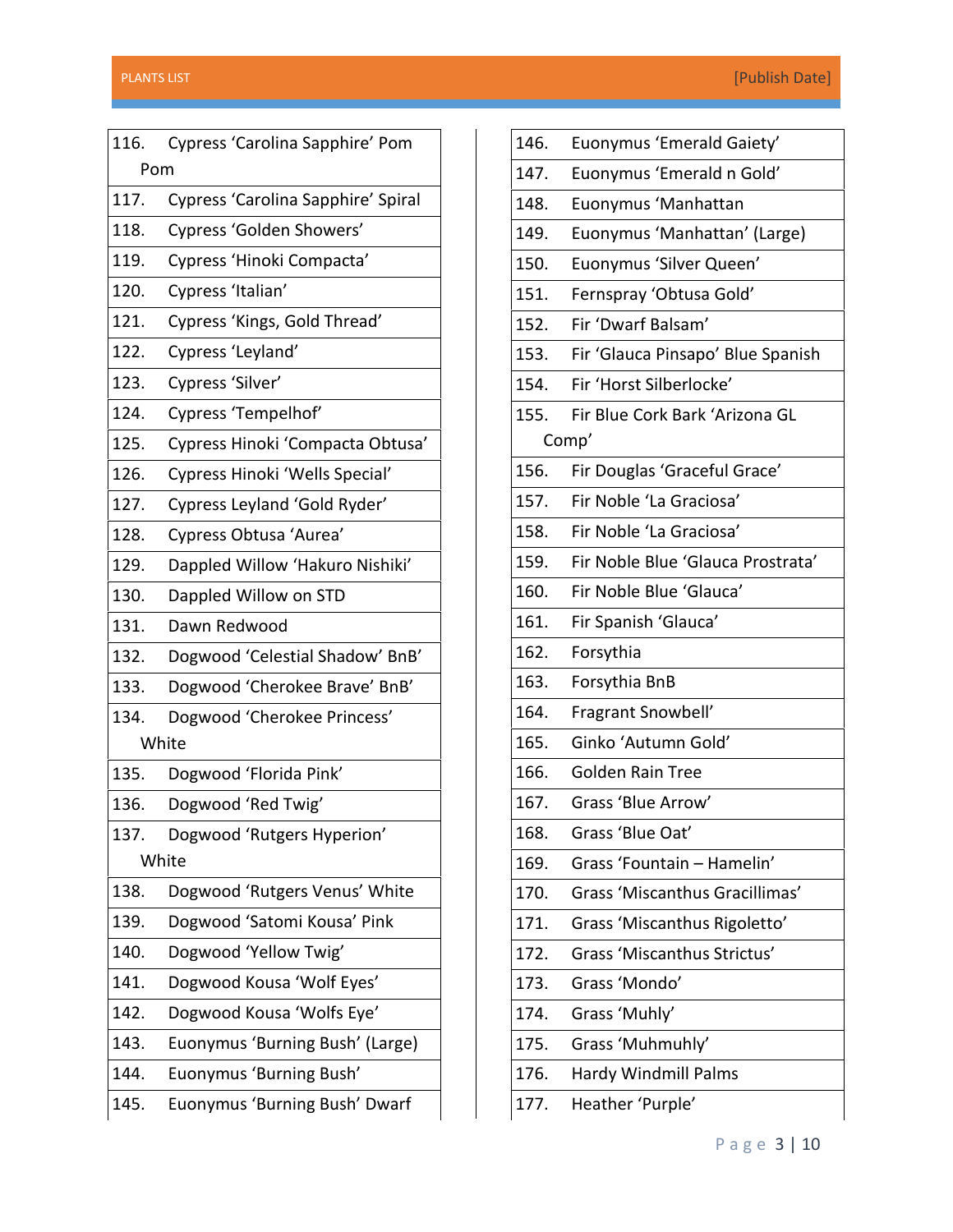| 116.  | Cypress 'Carolina Sapphire' Pom    |  |
|-------|------------------------------------|--|
| Pom   |                                    |  |
| 117.  | Cypress 'Carolina Sapphire' Spiral |  |
| 118.  | Cypress 'Golden Showers'           |  |
| 119.  | Cypress 'Hinoki Compacta'          |  |
| 120.  | Cypress 'Italian'                  |  |
| 121.  | Cypress 'Kings, Gold Thread'       |  |
| 122.  | Cypress 'Leyland'                  |  |
| 123.  | Cypress 'Silver'                   |  |
| 124.  | Cypress 'Tempelhof'                |  |
| 125.  | Cypress Hinoki 'Compacta Obtusa'   |  |
| 126.  | Cypress Hinoki 'Wells Special'     |  |
| 127.  | Cypress Leyland 'Gold Ryder'       |  |
| 128.  | Cypress Obtusa 'Aurea'             |  |
| 129.  | Dappled Willow 'Hakuro Nishiki'    |  |
| 130.  | Dappled Willow on STD              |  |
| 131.  | Dawn Redwood                       |  |
| 132.  | Dogwood 'Celestial Shadow' BnB'    |  |
| 133.  | Dogwood 'Cherokee Brave' BnB'      |  |
| 134.  | Dogwood 'Cherokee Princess'        |  |
| White |                                    |  |
| 135.  | Dogwood 'Florida Pink'             |  |
| 136.  | Dogwood 'Red Twig'                 |  |
| 137.  | Dogwood 'Rutgers Hyperion'         |  |
| White |                                    |  |
| 138.  | Dogwood 'Rutgers Venus' White      |  |
| 139.  | Dogwood 'Satomi Kousa' Pink        |  |
| 140.  | Dogwood 'Yellow Twig'              |  |
| 141.  | Dogwood Kousa 'Wolf Eyes'          |  |
| 142.  | Dogwood Kousa 'Wolfs Eye'          |  |
| 143.  | Euonymus 'Burning Bush' (Large)    |  |
| 144.  | Euonymus 'Burning Bush'            |  |
| 145.  | Euonymus 'Burning Bush' Dwarf      |  |
|       |                                    |  |

| 146. | Euonymus 'Emerald Gaiety'         |
|------|-----------------------------------|
| 147. | Euonymus 'Emerald n Gold'         |
| 148. | Euonymus 'Manhattan               |
| 149. | Euonymus 'Manhattan' (Large)      |
| 150. | Euonymus 'Silver Queen'           |
| 151. | Fernspray 'Obtusa Gold'           |
| 152. | Fir 'Dwarf Balsam'                |
| 153. | Fir 'Glauca Pinsapo' Blue Spanish |
| 154. | Fir 'Horst Silberlocke'           |
| 155. | Fir Blue Cork Bark 'Arizona GL    |
|      | Comp'                             |
| 156. | Fir Douglas 'Graceful Grace'      |
| 157. | Fir Noble 'La Graciosa'           |
| 158. | Fir Noble 'La Graciosa'           |
| 159. | Fir Noble Blue 'Glauca Prostrata' |
| 160. | Fir Noble Blue 'Glauca'           |
| 161. | Fir Spanish 'Glauca'              |
| 162. | Forsythia                         |
| 163. | Forsythia BnB                     |
| 164. | Fragrant Snowbell'                |
| 165. | Ginko 'Autumn Gold'               |
| 166. | <b>Golden Rain Tree</b>           |
| 167. | Grass 'Blue Arrow'                |
| 168. | Grass 'Blue Oat'                  |
| 169. | Grass 'Fountain - Hamelin'        |
| 170. | Grass 'Miscanthus Gracillimas'    |
| 171. | Grass 'Miscanthus Rigoletto'      |
| 172. | Grass 'Miscanthus Strictus'       |
| 173. | Grass 'Mondo'                     |
| 174. | Grass 'Muhly'                     |
| 175. | Grass 'Muhmuhly'                  |
| 176. | Hardy Windmill Palms              |
| 177. | Heather 'Purple'                  |
|      |                                   |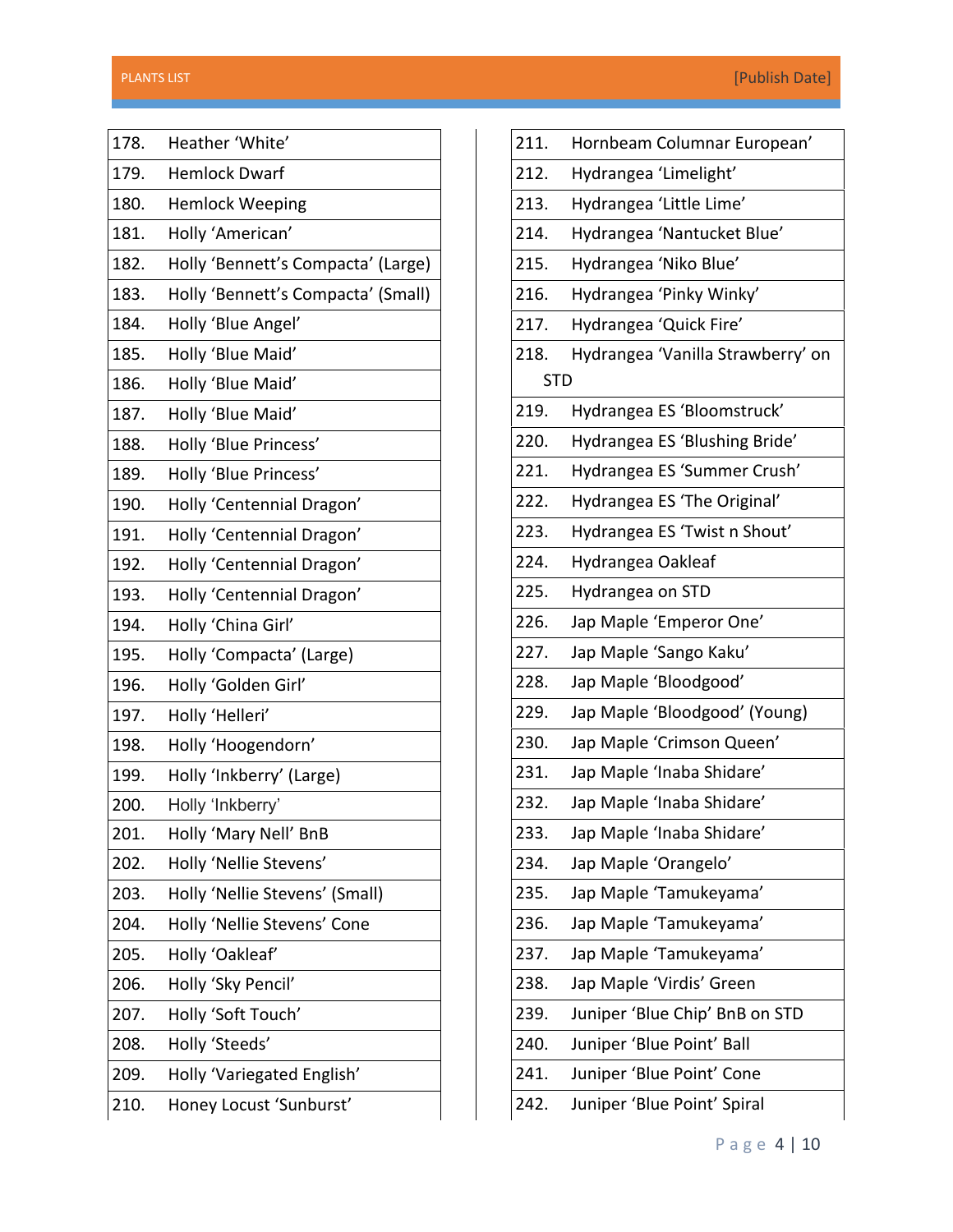| 178. | Heather 'White'                    |
|------|------------------------------------|
| 179. | <b>Hemlock Dwarf</b>               |
| 180. | <b>Hemlock Weeping</b>             |
| 181. | Holly 'American'                   |
| 182. | Holly 'Bennett's Compacta' (Large) |
| 183. | Holly 'Bennett's Compacta' (Small) |
| 184. | Holly 'Blue Angel'                 |
| 185. | Holly 'Blue Maid'                  |
| 186. | Holly 'Blue Maid'                  |
| 187. | Holly 'Blue Maid'                  |
| 188. | Holly 'Blue Princess'              |
| 189. | Holly 'Blue Princess'              |
| 190. | Holly 'Centennial Dragon'          |
| 191. | Holly 'Centennial Dragon'          |
| 192. | Holly 'Centennial Dragon'          |
| 193. | Holly 'Centennial Dragon'          |
| 194. | Holly 'China Girl'                 |
| 195. | Holly 'Compacta' (Large)           |
| 196. | Holly 'Golden Girl'                |
| 197. | Holly 'Helleri'                    |
| 198. | Holly 'Hoogendorn'                 |
| 199. | Holly 'Inkberry' (Large)           |
| 200. | Holly 'Inkberry'                   |
| 201. | Holly 'Mary Nell' BnB              |
| 202. | Holly 'Nellie Stevens'             |
| 203. | Holly 'Nellie Stevens' (Small)     |
| 204. | Holly 'Nellie Stevens' Cone        |
| 205. | Holly 'Oakleaf'                    |
| 206. | Holly 'Sky Pencil'                 |
| 207. | Holly 'Soft Touch'                 |
| 208. | Holly 'Steeds'                     |
| 209. | Holly 'Variegated English'         |
| 210. | Honey Locust 'Sunburst'            |
|      |                                    |

| 211.       | Hornbeam Columnar European'       |
|------------|-----------------------------------|
| 212.       | Hydrangea 'Limelight'             |
| 213.       | Hydrangea 'Little Lime'           |
| 214.       | Hydrangea 'Nantucket Blue'        |
| 215.       | Hydrangea 'Niko Blue'             |
| 216.       | Hydrangea 'Pinky Winky'           |
| 217.       | Hydrangea 'Quick Fire'            |
| 218.       | Hydrangea 'Vanilla Strawberry' on |
| <b>STD</b> |                                   |
| 219.       | Hydrangea ES 'Bloomstruck'        |
| 220.       | Hydrangea ES 'Blushing Bride'     |
| 221.       | Hydrangea ES 'Summer Crush'       |
| 222.       | Hydrangea ES 'The Original'       |
| 223.       | Hydrangea ES 'Twist n Shout'      |
| 224.       | Hydrangea Oakleaf                 |
| 225.       | Hydrangea on STD                  |
| 226.       | Jap Maple 'Emperor One'           |
| 227.       | Jap Maple 'Sango Kaku'            |
| 228.       | Jap Maple 'Bloodgood'             |
| 229.       | Jap Maple 'Bloodgood' (Young)     |
| 230.       | Jap Maple 'Crimson Queen'         |
| 231.       | Jap Maple 'Inaba Shidare'         |
| 232.       | Jap Maple 'Inaba Shidare'         |
| 233.       | Jap Maple 'Inaba Shidare'         |
| 234.       | Jap Maple 'Orangelo'              |
| 235.       | Jap Maple 'Tamukeyama'            |
| 236.       | Jap Maple 'Tamukeyama'            |
| 237.       | Jap Maple 'Tamukeyama'            |
| 238.       | Jap Maple 'Virdis' Green          |
| 239.       | Juniper 'Blue Chip' BnB on STD    |
| 240.       | Juniper 'Blue Point' Ball         |
| 241.       | Juniper 'Blue Point' Cone         |
| 242.       | Juniper 'Blue Point' Spiral       |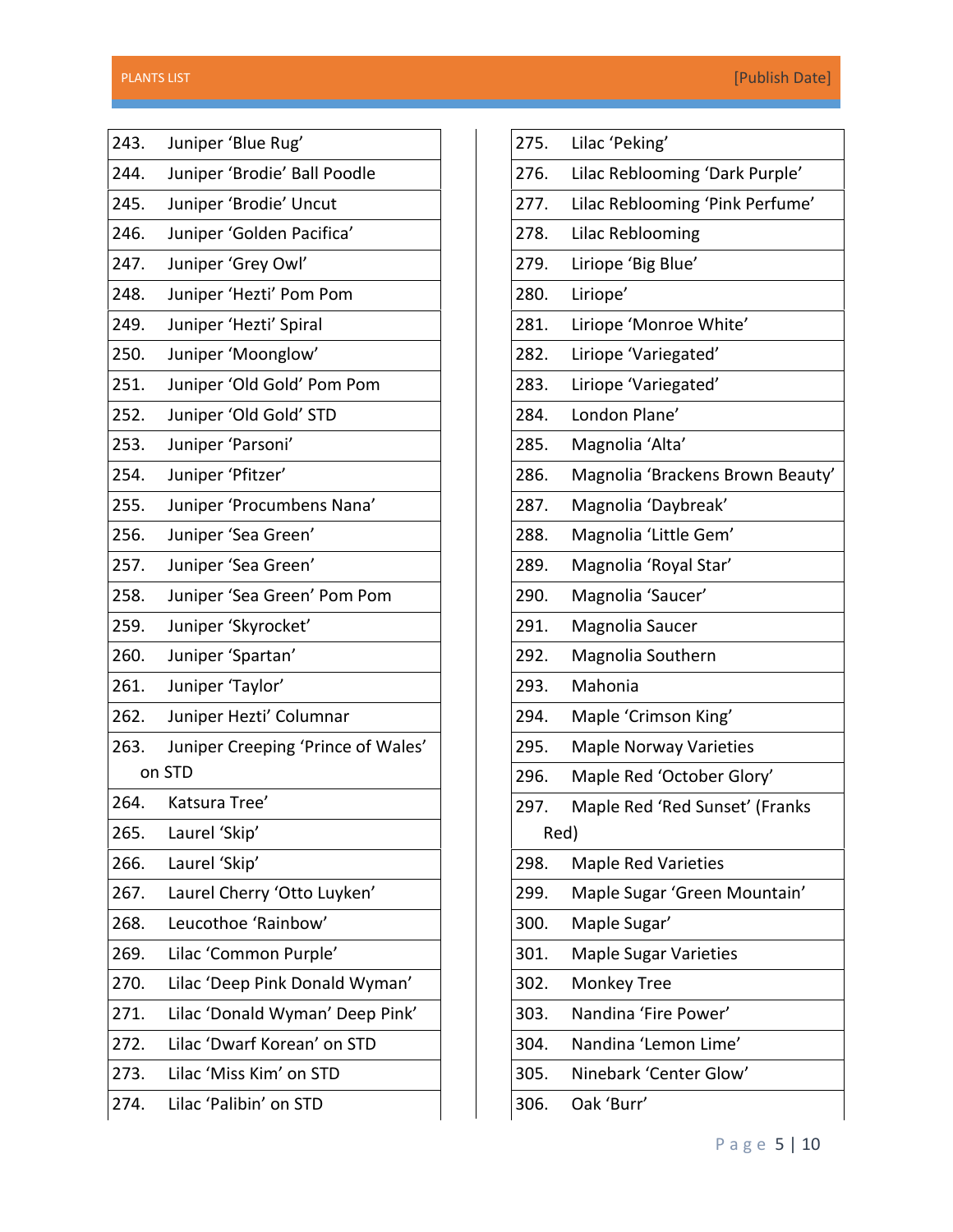| 243.   | Juniper 'Blue Rug'                 |  |
|--------|------------------------------------|--|
| 244.   | Juniper 'Brodie' Ball Poodle       |  |
| 245.   | Juniper 'Brodie' Uncut             |  |
| 246.   | Juniper 'Golden Pacifica'          |  |
| 247.   | Juniper 'Grey Owl'                 |  |
| 248.   | Juniper 'Hezti' Pom Pom            |  |
| 249.   | Juniper 'Hezti' Spiral             |  |
| 250.   | Juniper 'Moonglow'                 |  |
| 251.   | Juniper 'Old Gold' Pom Pom         |  |
| 252.   | Juniper 'Old Gold' STD             |  |
| 253.   | Juniper 'Parsoni'                  |  |
| 254.   | Juniper 'Pfitzer'                  |  |
| 255.   | Juniper 'Procumbens Nana'          |  |
| 256.   | Juniper 'Sea Green'                |  |
| 257.   | Juniper 'Sea Green'                |  |
| 258.   | Juniper 'Sea Green' Pom Pom        |  |
| 259.   | Juniper 'Skyrocket'                |  |
| 260.   | Juniper 'Spartan'                  |  |
| 261.   | Juniper 'Taylor'                   |  |
| 262.   | Juniper Hezti' Columnar            |  |
| 263.   | Juniper Creeping 'Prince of Wales' |  |
| on STD |                                    |  |
| 264.   | Katsura Tree'                      |  |
| 265.   | Laurel 'Skip'                      |  |
| 266.   | Laurel 'Skip'                      |  |
| 267.   | Laurel Cherry 'Otto Luyken'        |  |
| 268.   | Leucothoe 'Rainbow'                |  |
| 269.   | Lilac 'Common Purple'              |  |
| 270.   | Lilac 'Deep Pink Donald Wyman'     |  |
| 271.   | Lilac 'Donald Wyman' Deep Pink'    |  |
| 272.   | Lilac 'Dwarf Korean' on STD        |  |
| 273.   | Lilac 'Miss Kim' on STD            |  |
| 274.   | Lilac 'Palibin' on STD             |  |
|        |                                    |  |

| 275. | Lilac 'Peking'                   |
|------|----------------------------------|
| 276. | Lilac Reblooming 'Dark Purple'   |
| 277. | Lilac Reblooming 'Pink Perfume'  |
| 278. | Lilac Reblooming                 |
| 279. | Liriope 'Big Blue'               |
| 280. | Liriope'                         |
| 281. | Liriope 'Monroe White'           |
| 282. | Liriope 'Variegated'             |
| 283. | Liriope 'Variegated'             |
| 284. | London Plane'                    |
| 285. | Magnolia 'Alta'                  |
| 286. | Magnolia 'Brackens Brown Beauty' |
| 287. | Magnolia 'Daybreak'              |
| 288. | Magnolia 'Little Gem'            |
| 289. | Magnolia 'Royal Star'            |
| 290. | Magnolia 'Saucer'                |
| 291. | Magnolia Saucer                  |
| 292. | Magnolia Southern                |
| 293. | Mahonia                          |
| 294. | Maple 'Crimson King'             |
| 295. | <b>Maple Norway Varieties</b>    |
| 296. | Maple Red 'October Glory'        |
| 297. | Maple Red 'Red Sunset' (Franks   |
| Red) |                                  |
| 298. | <b>Maple Red Varieties</b>       |
| 299. | Maple Sugar 'Green Mountain'     |
| 300. | Maple Sugar'                     |
| 301. | <b>Maple Sugar Varieties</b>     |
| 302. | <b>Monkey Tree</b>               |
| 303. | Nandina 'Fire Power'             |
| 304. | Nandina 'Lemon Lime'             |
| 305. | Ninebark 'Center Glow'           |
| 306. | Oak 'Burr'                       |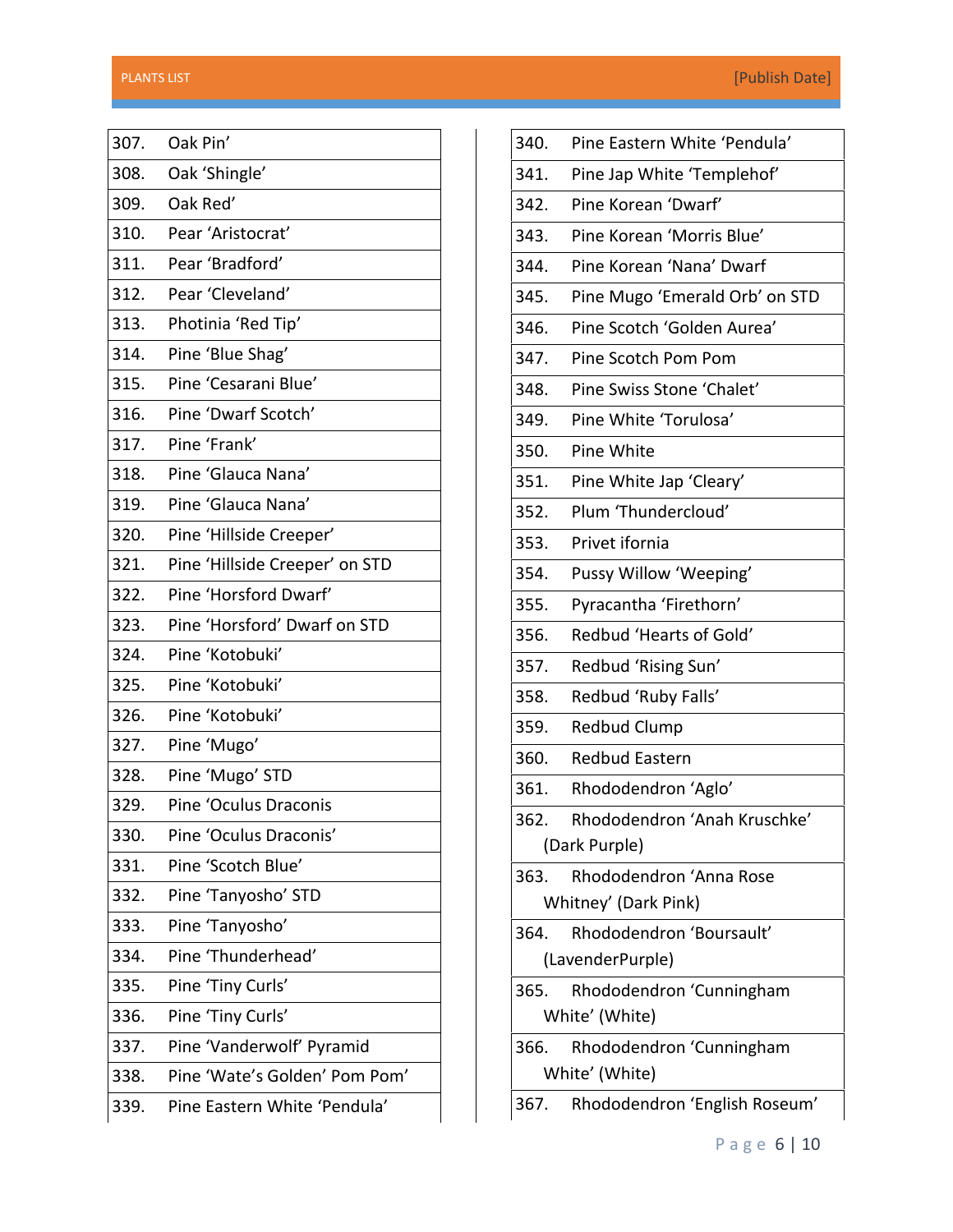| 307. | Oak Pin'                       |
|------|--------------------------------|
| 308. | Oak 'Shingle'                  |
| 309. | Oak Red'                       |
| 310. | Pear 'Aristocrat'              |
| 311. | Pear 'Bradford'                |
| 312. | Pear 'Cleveland'               |
| 313. | Photinia 'Red Tip'             |
| 314. | Pine 'Blue Shag'               |
| 315. | Pine 'Cesarani Blue'           |
| 316. | Pine 'Dwarf Scotch'            |
| 317. | Pine 'Frank'                   |
| 318. | Pine 'Glauca Nana'             |
| 319. | Pine 'Glauca Nana'             |
| 320. | Pine 'Hillside Creeper'        |
| 321. | Pine 'Hillside Creeper' on STD |
| 322. | Pine 'Horsford Dwarf'          |
| 323. | Pine 'Horsford' Dwarf on STD   |
| 324. | Pine 'Kotobuki'                |
| 325. | Pine 'Kotobuki'                |
| 326. | Pine 'Kotobuki'                |
| 327. | Pine 'Mugo'                    |
| 328. | Pine 'Mugo' STD                |
| 329. | Pine 'Oculus Draconis          |
| 330. | Pine 'Oculus Draconis'         |
| 331. | Pine 'Scotch Blue'             |
| 332. | Pine 'Tanyosho' STD            |
| 333. | Pine 'Tanyosho'                |
| 334. | Pine 'Thunderhead'             |
| 335. | Pine 'Tiny Curls'              |
| 336. | Pine 'Tiny Curls'              |
| 337. | Pine 'Vanderwolf' Pyramid      |
| 338. | Pine 'Wate's Golden' Pom Pom'  |
| 339. | Pine Eastern White 'Pendula'   |

| 340.                                               | Pine Eastern White 'Pendula'   |  |
|----------------------------------------------------|--------------------------------|--|
| 341.                                               | Pine Jap White 'Templehof'     |  |
| 342.                                               | Pine Korean 'Dwarf'            |  |
| 343.                                               | Pine Korean 'Morris Blue'      |  |
| 344.                                               | Pine Korean 'Nana' Dwarf       |  |
| 345.                                               | Pine Mugo 'Emerald Orb' on STD |  |
| 346.                                               | Pine Scotch 'Golden Aurea'     |  |
| 347.                                               | Pine Scotch Pom Pom            |  |
| 348.                                               | Pine Swiss Stone 'Chalet'      |  |
| 349.                                               | Pine White 'Torulosa'          |  |
| 350.                                               | Pine White                     |  |
| 351.                                               | Pine White Jap 'Cleary'        |  |
| 352.                                               | Plum 'Thundercloud'            |  |
| 353.                                               | Privet ifornia                 |  |
| 354.                                               | Pussy Willow 'Weeping'         |  |
| 355.                                               | Pyracantha 'Firethorn'         |  |
| 356.                                               | Redbud 'Hearts of Gold'        |  |
| 357.                                               | Redbud 'Rising Sun'            |  |
| 358.                                               | Redbud 'Ruby Falls'            |  |
| 359.                                               | <b>Redbud Clump</b>            |  |
| 360.                                               | <b>Redbud Eastern</b>          |  |
| 361.                                               | Rhododendron 'Aglo'            |  |
| 362.                                               | Rhododendron 'Anah Kruschke'   |  |
|                                                    | (Dark Purple)                  |  |
| 363.                                               | Rhododendron 'Anna Rose        |  |
|                                                    | Whitney' (Dark Pink)           |  |
| 364.                                               | Rhododendron 'Boursault'       |  |
|                                                    | (LavenderPurple)               |  |
| 365.<br>Rhododendron 'Cunningham<br>White' (White) |                                |  |
| 366.                                               | Rhododendron 'Cunningham       |  |
|                                                    | White' (White)                 |  |
| 367.                                               | Rhododendron 'English Roseum'  |  |
|                                                    |                                |  |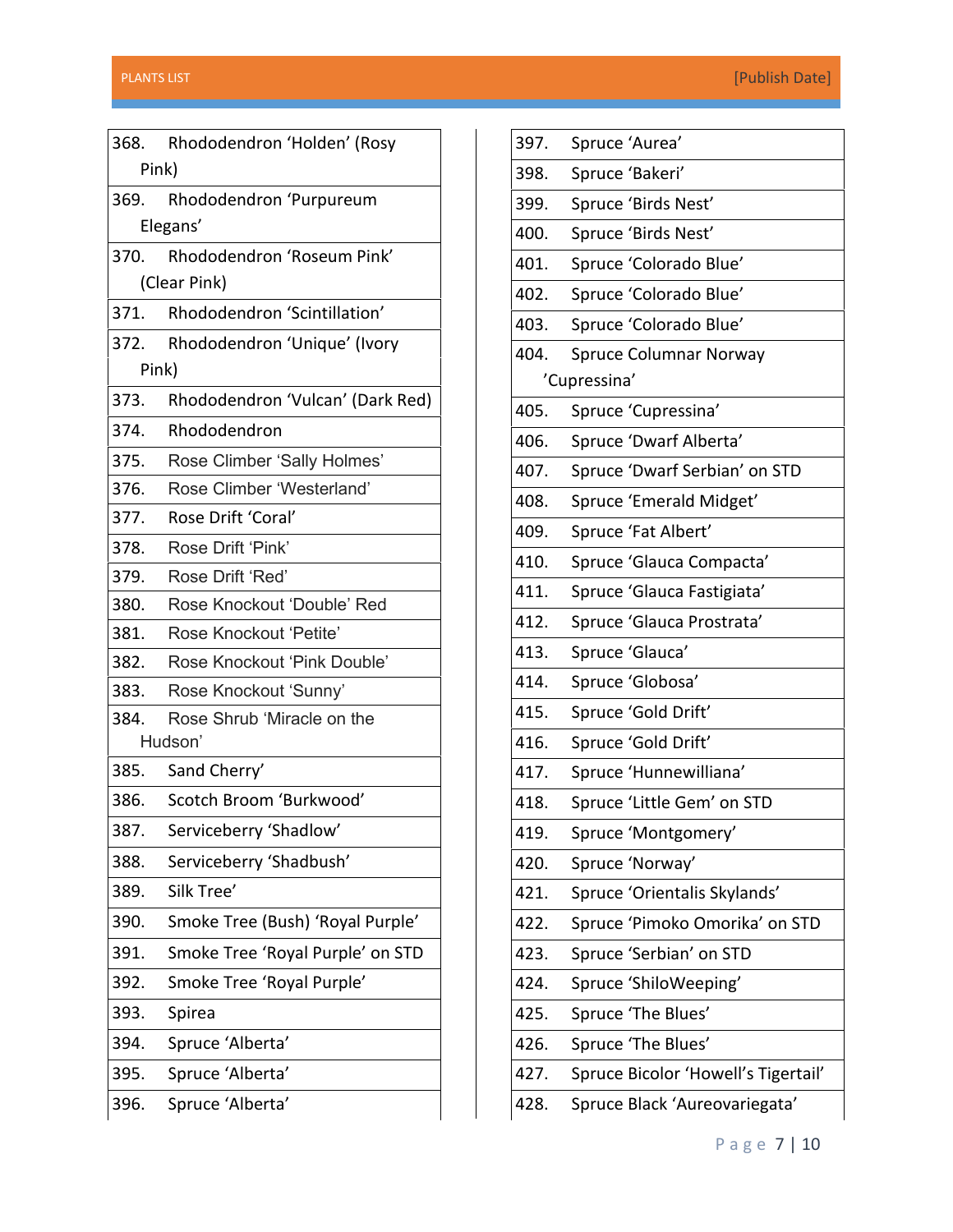|         | 368.     | Rhododendron 'Holden' (Rosy      |  |
|---------|----------|----------------------------------|--|
|         | Pink)    |                                  |  |
|         | 369.     | Rhododendron 'Purpureum          |  |
|         | Elegans' |                                  |  |
|         | 370.     | Rhododendron 'Roseum Pink'       |  |
|         |          | (Clear Pink)                     |  |
|         | 371.     | Rhododendron 'Scintillation'     |  |
|         | 372.     | Rhododendron 'Unique' (Ivory     |  |
|         | Pink)    |                                  |  |
|         | 373.     | Rhododendron 'Vulcan' (Dark Red) |  |
|         | 374.     | Rhododendron                     |  |
|         | 375.     | Rose Climber 'Sally Holmes'      |  |
|         | 376.     | Rose Climber 'Westerland'        |  |
|         | 377.     | Rose Drift 'Coral'               |  |
|         | 378.     | Rose Drift 'Pink'                |  |
|         | 379.     | Rose Drift 'Red'                 |  |
|         | 380.     | Rose Knockout 'Double' Red       |  |
|         | 381.     | Rose Knockout 'Petite'           |  |
|         | 382.     | Rose Knockout 'Pink Double'      |  |
|         | 383.     | Rose Knockout 'Sunny'            |  |
|         | 384.     | Rose Shrub 'Miracle on the       |  |
| Hudson' |          |                                  |  |
|         | 385.     | Sand Cherry'                     |  |
|         | 386.     | Scotch Broom 'Burkwood'          |  |
|         | 387.     | Serviceberry 'Shadlow'           |  |
|         | 388.     | Serviceberry 'Shadbush'          |  |
|         | 389.     | Silk Tree'                       |  |
|         | 390.     | Smoke Tree (Bush) 'Royal Purple' |  |
|         | 391.     | Smoke Tree 'Royal Purple' on STD |  |
|         | 392.     | Smoke Tree 'Royal Purple'        |  |
|         | 393.     | Spirea                           |  |
|         | 394.     | Spruce 'Alberta'                 |  |
|         | 395.     | Spruce 'Alberta'                 |  |
|         | 396.     | Spruce 'Alberta'                 |  |
|         |          |                                  |  |

| 397.         | Spruce 'Aurea'                      |  |  |
|--------------|-------------------------------------|--|--|
| 398.         | Spruce 'Bakeri'                     |  |  |
| 399.         | Spruce 'Birds Nest'                 |  |  |
| 400.         | Spruce 'Birds Nest'                 |  |  |
| 401.         | Spruce 'Colorado Blue'              |  |  |
| 402.         | Spruce 'Colorado Blue'              |  |  |
| 403.         | Spruce 'Colorado Blue'              |  |  |
| 404.         | Spruce Columnar Norway              |  |  |
| 'Cupressina' |                                     |  |  |
| 405.         | Spruce 'Cupressina'                 |  |  |
| 406.         | Spruce 'Dwarf Alberta'              |  |  |
| 407.         | Spruce 'Dwarf Serbian' on STD       |  |  |
| 408.         | Spruce 'Emerald Midget'             |  |  |
| 409.         | Spruce 'Fat Albert'                 |  |  |
| 410.         | Spruce 'Glauca Compacta'            |  |  |
| 411.         | Spruce 'Glauca Fastigiata'          |  |  |
| 412.         | Spruce 'Glauca Prostrata'           |  |  |
| 413.         | Spruce 'Glauca'                     |  |  |
| 414.         | Spruce 'Globosa'                    |  |  |
| 415.         | Spruce 'Gold Drift'                 |  |  |
| 416.         | Spruce 'Gold Drift'                 |  |  |
| 417.         | Spruce 'Hunnewilliana'              |  |  |
| 418.         | Spruce 'Little Gem' on STD          |  |  |
| 419.         | Spruce 'Montgomery'                 |  |  |
| 420.         | Spruce 'Norway'                     |  |  |
| 421.         | Spruce 'Orientalis Skylands'        |  |  |
| 422.         | Spruce 'Pimoko Omorika' on STD      |  |  |
| 423.         | Spruce 'Serbian' on STD             |  |  |
| 424.         | Spruce 'ShiloWeeping'               |  |  |
| 425.         | Spruce 'The Blues'                  |  |  |
| 426.         | Spruce 'The Blues'                  |  |  |
| 427.         | Spruce Bicolor 'Howell's Tigertail' |  |  |
| 428.         | Spruce Black 'Aureovariegata'       |  |  |
|              |                                     |  |  |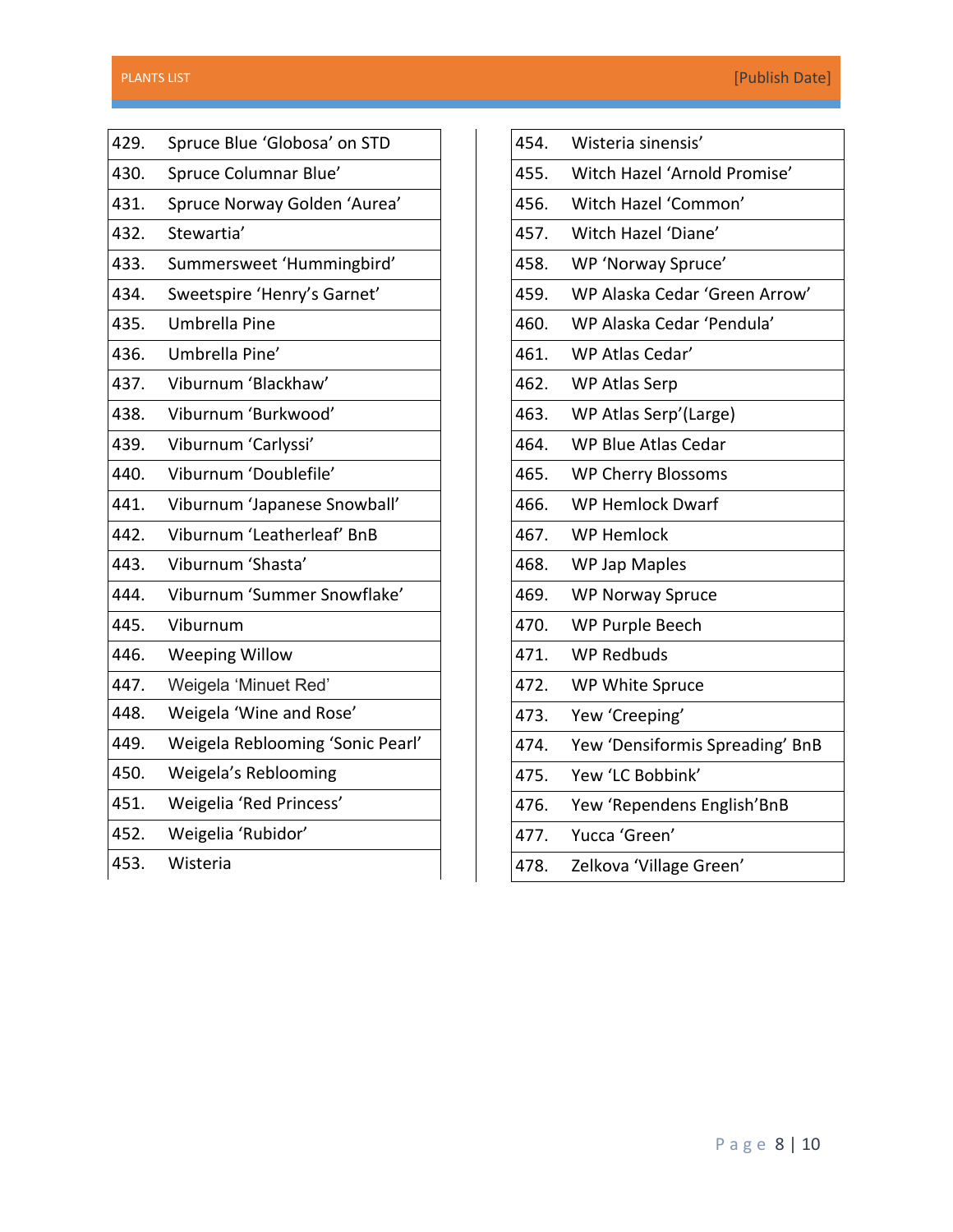| 429. | Spruce Blue 'Globosa' on STD     |
|------|----------------------------------|
| 430. | Spruce Columnar Blue'            |
| 431. | Spruce Norway Golden 'Aurea'     |
| 432. | Stewartia'                       |
| 433. | Summersweet 'Hummingbird'        |
| 434. | Sweetspire 'Henry's Garnet'      |
| 435. | Umbrella Pine                    |
| 436. | Umbrella Pine'                   |
| 437. | Viburnum 'Blackhaw'              |
| 438. | Viburnum 'Burkwood'              |
| 439. | Viburnum 'Carlyssi'              |
| 440. | Viburnum 'Doublefile'            |
| 441. | Viburnum 'Japanese Snowball'     |
| 442. | Viburnum 'Leatherleaf' BnB       |
| 443. | Viburnum 'Shasta'                |
| 444. | Viburnum 'Summer Snowflake'      |
| 445. | Viburnum                         |
| 446. | <b>Weeping Willow</b>            |
| 447. | Weigela 'Minuet Red'             |
| 448. | Weigela 'Wine and Rose'          |
| 449. | Weigela Reblooming 'Sonic Pearl' |
| 450. | Weigela's Reblooming             |
| 451. | Weigelia 'Red Princess'          |
| 452. | Weigelia 'Rubidor'               |
| 453. | Wisteria                         |

| 454. | Wisteria sinensis'              |
|------|---------------------------------|
| 455. | Witch Hazel 'Arnold Promise'    |
| 456. | Witch Hazel 'Common'            |
| 457. | Witch Hazel 'Diane'             |
| 458. | WP 'Norway Spruce'              |
| 459. | WP Alaska Cedar 'Green Arrow'   |
| 460. | WP Alaska Cedar 'Pendula'       |
| 461. | WP Atlas Cedar'                 |
| 462. | WP Atlas Serp                   |
| 463. | WP Atlas Serp'(Large)           |
| 464. | <b>WP Blue Atlas Cedar</b>      |
| 465. | <b>WP Cherry Blossoms</b>       |
| 466. | <b>WP Hemlock Dwarf</b>         |
| 467. | <b>WP Hemlock</b>               |
| 468. | <b>WP Jap Maples</b>            |
| 469. | <b>WP Norway Spruce</b>         |
| 470. | <b>WP Purple Beech</b>          |
| 471. | <b>WP Redbuds</b>               |
| 472. | WP White Spruce                 |
| 473. | Yew 'Creeping'                  |
| 474. | Yew 'Densiformis Spreading' BnB |
| 475. | Yew 'LC Bobbink'                |
| 476. | Yew 'Rependens English'BnB      |
| 477. | Yucca 'Green'                   |
| 478. | Zelkova 'Village Green'         |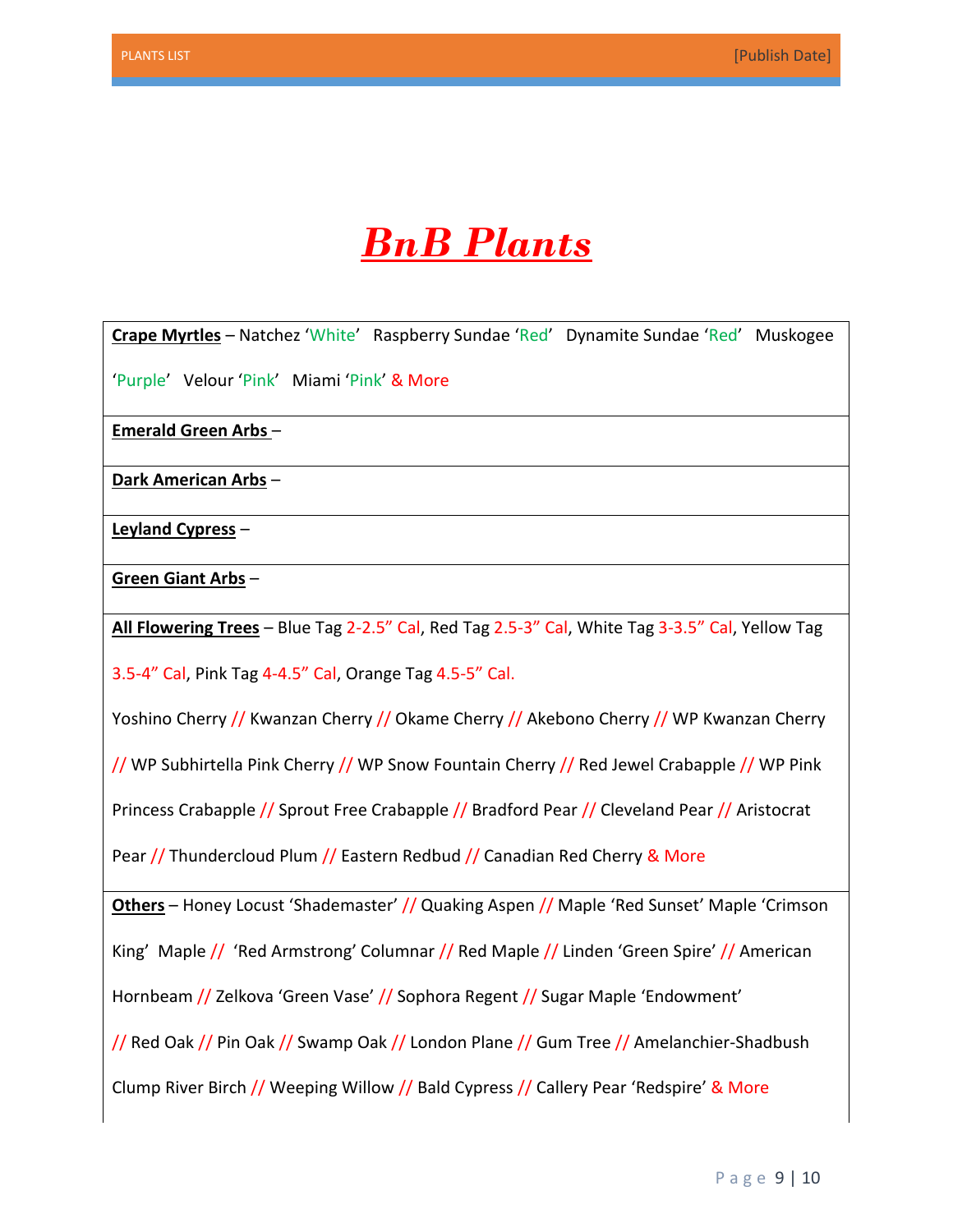

**Crape Myrtles** – Natchez 'White' Raspberry Sundae 'Red' Dynamite Sundae 'Red' Muskogee 'Purple' Velour 'Pink' Miami 'Pink' & More

**Emerald Green Arbs** –

**Dark American Arbs** –

**Leyland Cypress** –

**Green Giant Arbs** –

**All Flowering Trees** – Blue Tag 2-2.5" Cal, Red Tag 2.5-3" Cal, White Tag 3-3.5" Cal, Yellow Tag

3.5-4" Cal, Pink Tag 4-4.5" Cal, Orange Tag 4.5-5" Cal.

Yoshino Cherry // Kwanzan Cherry // Okame Cherry // Akebono Cherry // WP Kwanzan Cherry

// WP Subhirtella Pink Cherry // WP Snow Fountain Cherry // Red Jewel Crabapple // WP Pink

Princess Crabapple // Sprout Free Crabapple // Bradford Pear // Cleveland Pear // Aristocrat

Pear // Thundercloud Plum // Eastern Redbud // Canadian Red Cherry & More

**Others** – Honey Locust 'Shademaster' // Quaking Aspen // Maple 'Red Sunset' Maple 'Crimson

King' Maple // 'Red Armstrong' Columnar // Red Maple // Linden 'Green Spire' // American

Hornbeam // Zelkova 'Green Vase' // Sophora Regent // Sugar Maple 'Endowment'

// Red Oak // Pin Oak // Swamp Oak // London Plane // Gum Tree // Amelanchier-Shadbush

Clump River Birch // Weeping Willow // Bald Cypress // Callery Pear 'Redspire' & More